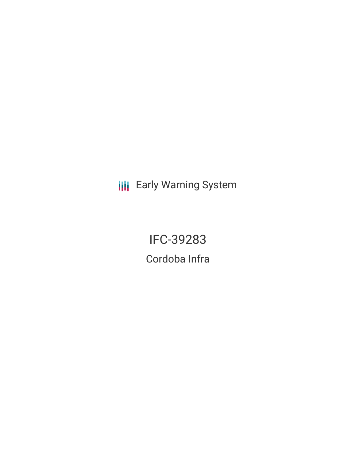**III** Early Warning System

IFC-39283 Cordoba Infra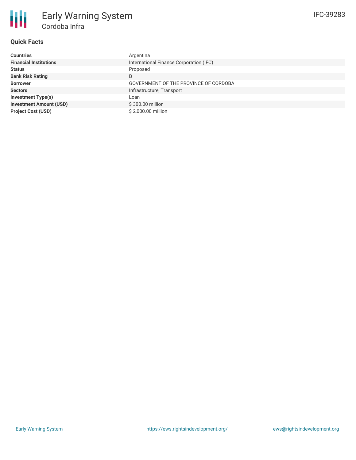

# **Quick Facts**

| <b>Countries</b>               | Argentina                               |
|--------------------------------|-----------------------------------------|
| <b>Financial Institutions</b>  | International Finance Corporation (IFC) |
| <b>Status</b>                  | Proposed                                |
| <b>Bank Risk Rating</b>        | B                                       |
| <b>Borrower</b>                | GOVERNMENT OF THE PROVINCE OF CORDOBA   |
| <b>Sectors</b>                 | Infrastructure, Transport               |
| <b>Investment Type(s)</b>      | Loan                                    |
| <b>Investment Amount (USD)</b> | \$300,00 million                        |
| <b>Project Cost (USD)</b>      | \$2,000.00 million                      |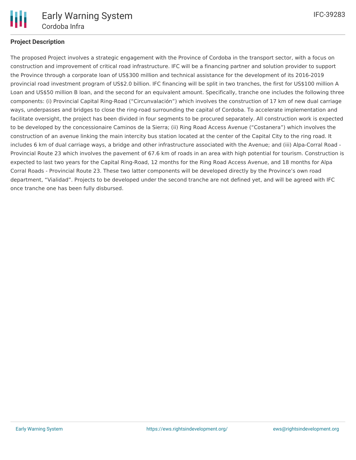

## **Project Description**

The proposed Project involves a strategic engagement with the Province of Cordoba in the transport sector, with a focus on construction and improvement of critical road infrastructure. IFC will be a financing partner and solution provider to support the Province through a corporate loan of US\$300 million and technical assistance for the development of its 2016-2019 provincial road investment program of US\$2.0 billion. IFC financing will be split in two tranches, the first for US\$100 million A Loan and US\$50 million B loan, and the second for an equivalent amount. Specifically, tranche one includes the following three components: (i) Provincial Capital Ring-Road ("Circunvalación") which involves the construction of 17 km of new dual carriage ways, underpasses and bridges to close the ring-road surrounding the capital of Cordoba. To accelerate implementation and facilitate oversight, the project has been divided in four segments to be procured separately. All construction work is expected to be developed by the concessionaire Caminos de la Sierra; (ii) Ring Road Access Avenue ("Costanera") which involves the construction of an avenue linking the main intercity bus station located at the center of the Capital City to the ring road. It includes 6 km of dual carriage ways, a bridge and other infrastructure associated with the Avenue; and (iii) Alpa-Corral Road - Provincial Route 23 which involves the pavement of 67.6 km of roads in an area with high potential for tourism. Construction is expected to last two years for the Capital Ring-Road, 12 months for the Ring Road Access Avenue, and 18 months for Alpa Corral Roads - Provincial Route 23. These two latter components will be developed directly by the Province's own road department, "Vialidad". Projects to be developed under the second tranche are not defined yet, and will be agreed with IFC once tranche one has been fully disbursed.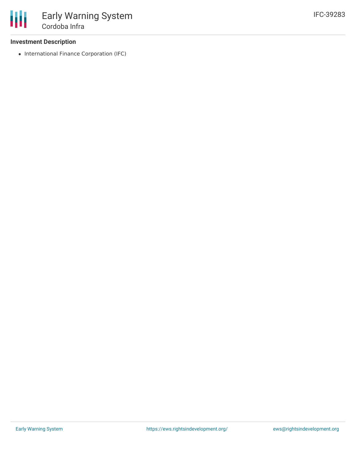### **Investment Description**

• International Finance Corporation (IFC)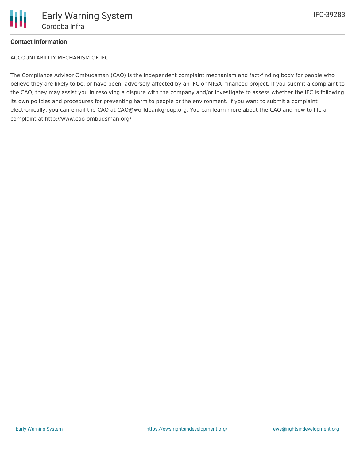

### **Contact Information**

ACCOUNTABILITY MECHANISM OF IFC

The Compliance Advisor Ombudsman (CAO) is the independent complaint mechanism and fact-finding body for people who believe they are likely to be, or have been, adversely affected by an IFC or MIGA- financed project. If you submit a complaint to the CAO, they may assist you in resolving a dispute with the company and/or investigate to assess whether the IFC is following its own policies and procedures for preventing harm to people or the environment. If you want to submit a complaint electronically, you can email the CAO at CAO@worldbankgroup.org. You can learn more about the CAO and how to file a complaint at http://www.cao-ombudsman.org/